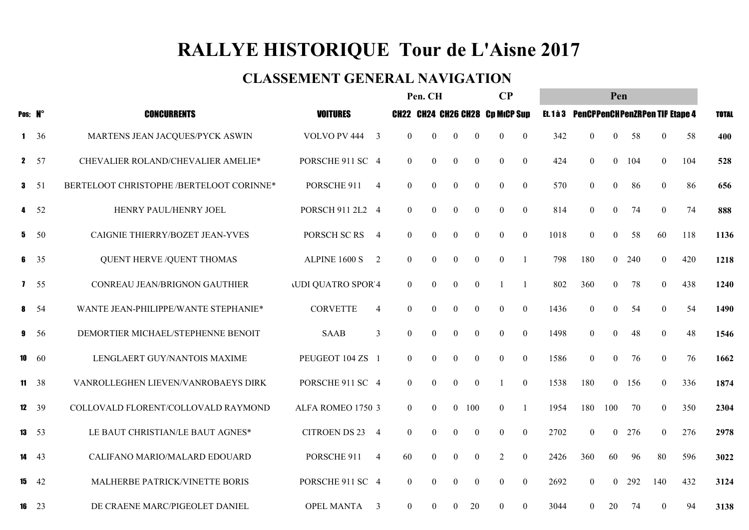## RALLYE HISTORIQUE Tour de L'Aisne 2017

#### CLASSEMENT GENERAL NAVIGATION

|         |              |                                          |                                        | Pen. CH          |                  |                  | $\bf CP$         |                                        | Pen  |                                          |                  |     |                  |     |              |  |
|---------|--------------|------------------------------------------|----------------------------------------|------------------|------------------|------------------|------------------|----------------------------------------|------|------------------------------------------|------------------|-----|------------------|-----|--------------|--|
| Pos; N° |              | <b>CONCURRENTS</b>                       | <b>VOITURES</b>                        |                  |                  |                  |                  | <b>CH22 CH24 CH26 CH28 Cp MtCP Sup</b> |      | Et. 1 à 3 PenCPPenCHPenZRPen TIP Etape 4 |                  |     |                  |     | <b>TOTAL</b> |  |
|         | $1 \t36$     | MARTENS JEAN JACQUES/PYCK ASWIN          | VOLVO PV 444<br>3                      | $\overline{0}$   | $\overline{0}$   | $\overline{0}$   | $\bf{0}$         | $\boldsymbol{0}$<br>$\overline{0}$     | 342  | $\overline{0}$                           | $\overline{0}$   | 58  | $\mathbf{0}$     | 58  | 400          |  |
|         | $2 \t 57$    | CHEVALIER ROLAND/CHEVALIER AMELIE*       | PORSCHE 911 SC 4                       | $\mathbf{0}$     | $\boldsymbol{0}$ | $\boldsymbol{0}$ | $\boldsymbol{0}$ | $\boldsymbol{0}$<br>$\boldsymbol{0}$   | 424  | $\mathbf{0}$                             | $\mathbf{0}$     | 104 | $\boldsymbol{0}$ | 104 | 528          |  |
|         | $3 \quad 51$ | BERTELOOT CHRISTOPHE /BERTELOOT CORINNE* | PORSCHE 911<br>$\overline{4}$          | $\boldsymbol{0}$ | $\boldsymbol{0}$ | $\boldsymbol{0}$ | $\boldsymbol{0}$ | $\boldsymbol{0}$<br>$\theta$           | 570  | $\mathbf{0}$                             | $\boldsymbol{0}$ | 86  | $\boldsymbol{0}$ | 86  | 656          |  |
|         | 4 52         | HENRY PAUL/HENRY JOEL                    | PORSCH 911 2L2 4                       | $\theta$         | $\boldsymbol{0}$ | $\theta$         | $\boldsymbol{0}$ | $\boldsymbol{0}$<br>$\theta$           | 814  | $\mathbf{0}$                             | $\Omega$         | 74  | $\overline{0}$   | 74  | 888          |  |
| 5       | - 50         | CAIGNIE THIERRY/BOZET JEAN-YVES          | PORSCH SC RS<br>$\overline{4}$         | $\theta$         | $\boldsymbol{0}$ | $\mathbf{0}$     | $\boldsymbol{0}$ | $\overline{0}$<br>$\theta$             | 1018 | $\mathbf{0}$                             | $\Omega$         | 58  | 60               | 118 | 1136         |  |
|         | $6 \t35$     | <b>QUENT HERVE /QUENT THOMAS</b>         | ALPINE 1600 S<br>2                     | $\overline{0}$   | $\boldsymbol{0}$ | $\overline{0}$   | $\boldsymbol{0}$ | $\boldsymbol{0}$<br>$\overline{1}$     | 798  | 180                                      | $\overline{0}$   | 240 | $\mathbf{0}$     | 420 | 1218         |  |
|         | $1 \quad 55$ | CONREAU JEAN/BRIGNON GAUTHIER            | <b>JUDI QUATRO SPOR 4</b>              | $\overline{0}$   | $\boldsymbol{0}$ | $\overline{0}$   | $\boldsymbol{0}$ | $\overline{1}$                         | 802  | 360                                      | $\overline{0}$   | 78  | $\mathbf{0}$     | 438 | 1240         |  |
|         | 8, 54        | WANTE JEAN-PHILIPPE/WANTE STEPHANIE*     | <b>CORVETTE</b><br>$\overline{4}$      | $\theta$         | $\mathbf{0}$     | $\theta$         | $\overline{0}$   | $\boldsymbol{0}$<br>$\theta$           | 1436 | $\mathbf{0}$                             | $\Omega$         | 54  | $\mathbf{0}$     | 54  | 1490         |  |
| 9       | - 56         | DEMORTIER MICHAEL/STEPHENNE BENOIT       | 3<br><b>SAAB</b>                       | $\theta$         | $\mathbf{0}$     | $\theta$         | $\boldsymbol{0}$ | $\mathbf{0}$<br>$\theta$               | 1498 | $\overline{0}$                           | $\Omega$         | 48  | $\overline{0}$   | 48  | 1546         |  |
| 10      | 60           | LENGLAERT GUY/NANTOIS MAXIME             | PEUGEOT 104 ZS 1                       | $\theta$         | $\boldsymbol{0}$ | $\overline{0}$   | $\boldsymbol{0}$ | $\boldsymbol{0}$<br>$\theta$           | 1586 | $\mathbf{0}$                             | $\overline{0}$   | 76  | $\mathbf{0}$     | 76  | 1662         |  |
|         | $11 \t38$    | VANROLLEGHEN LIEVEN/VANROBAEYS DIRK      | PORSCHE 911 SC 4                       | $\overline{0}$   | $\boldsymbol{0}$ | $\overline{0}$   | $\boldsymbol{0}$ | $\mathbf{0}$<br>-1                     | 1538 | 180                                      | $\overline{0}$   | 156 | $\mathbf{0}$     | 336 | 1874         |  |
|         | 12 39        | COLLOVALD FLORENT/COLLOVALD RAYMOND      | ALFA ROMEO 1750 3                      | $\theta$         | $\boldsymbol{0}$ | $\overline{0}$   | 100              | $\boldsymbol{0}$<br>$\mathbf{1}$       | 1954 | 180                                      | 100              | 70  | $\theta$         | 350 | 2304         |  |
| 13      | 53           | LE BAUT CHRISTIAN/LE BAUT AGNES*         | <b>CITROEN DS 23</b><br>$\overline{4}$ | $\theta$         | $\mathbf{0}$     | $\theta$         | $\overline{0}$   | $\theta$<br>$\theta$                   | 2702 | $\theta$                                 | $\theta$         | 276 | $\theta$         | 276 | 2978         |  |
| 14      | 43           | CALIFANO MARIO/MALARD EDOUARD            | PORSCHE 911<br>$\overline{4}$          | 60               | $\overline{0}$   | $\overline{0}$   | $\overline{0}$   | $\overline{2}$<br>$\overline{0}$       | 2426 | 360                                      | 60               | 96  | 80               | 596 | 3022         |  |
| 15      | -42          | MALHERBE PATRICK/VINETTE BORIS           | PORSCHE 911 SC 4                       | $\overline{0}$   | $\boldsymbol{0}$ | $\mathbf{0}$     | $\boldsymbol{0}$ | $\boldsymbol{0}$<br>$\mathbf{0}$       | 2692 | $\mathbf{0}$                             | $\overline{0}$   | 292 | 140              | 432 | 3124         |  |
|         | $16 \t 23$   | DE CRAENE MARC/PIGEOLET DANIEL           | OPEL MANTA<br>3                        | $\overline{0}$   | $\overline{0}$   | $\theta$         | 20               | $\boldsymbol{0}$<br>$\theta$           | 3044 | $\overline{0}$                           | 20               | 74  | $\overline{0}$   | 94  | 3138         |  |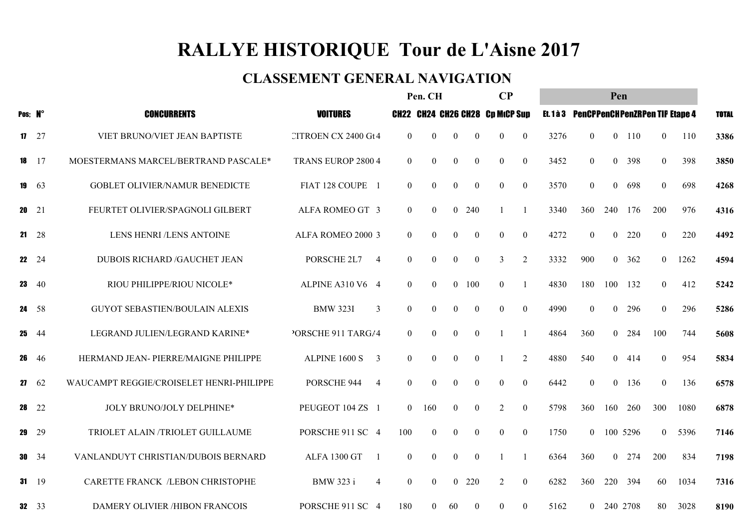## RALLYE HISTORIQUE Tour de L'Aisne 2017

#### CLASSEMENT GENERAL NAVIGATION

|    |               | Pen. CH                                  |                                    |                |                  |                | $\bf CP$       |                                        | Pen            |      |                                          |                |          |                  |      |              |
|----|---------------|------------------------------------------|------------------------------------|----------------|------------------|----------------|----------------|----------------------------------------|----------------|------|------------------------------------------|----------------|----------|------------------|------|--------------|
|    | Pos; N°       | <b>CONCURRENTS</b>                       | <b>VOITURES</b>                    |                |                  |                |                | <b>CH22 CH24 CH26 CH28 Cp MtCP Sup</b> |                |      | Et. 1 à 3 PenCPPenCHPenZRPen TIP Etape 4 |                |          |                  |      | <b>TOTAL</b> |
|    | $17 \t27$     | VIET BRUNO/VIET JEAN BAPTISTE            | <b>CITROEN CX 2400 Gt4</b>         | $\overline{0}$ | $\mathbf{0}$     | $\overline{0}$ | $\overline{0}$ | $\boldsymbol{0}$                       | $\mathbf{0}$   | 3276 | $\overline{0}$                           | $\overline{0}$ | 110      | $\mathbf{0}$     | 110  | 3386         |
|    | $18 \t17$     | MOESTERMANS MARCEL/BERTRAND PASCALE*     | <b>TRANS EUROP 2800 4</b>          | $\overline{0}$ | $\boldsymbol{0}$ | $\mathbf{0}$   | $\mathbf{0}$   | $\boldsymbol{0}$                       | $\overline{0}$ | 3452 | $\mathbf{0}$                             | $\overline{0}$ | 398      | $\boldsymbol{0}$ | 398  | 3850         |
|    | 19 $63$       | GOBLET OLIVIER/NAMUR BENEDICTE           | FIAT 128 COUPE 1                   | $\overline{0}$ | $\boldsymbol{0}$ | $\overline{0}$ | $\overline{0}$ | $\overline{0}$                         | $\overline{0}$ | 3570 | $\mathbf{0}$                             | $\overline{0}$ | 698      | $\boldsymbol{0}$ | 698  | 4268         |
|    | <b>20</b> 21  | FEURTET OLIVIER/SPAGNOLI GILBERT         | ALFA ROMEO GT 3                    | $\overline{0}$ | $\overline{0}$   |                | 0 240          | $\mathbf{1}$                           |                | 3340 | 360                                      | 240            | 176      | 200              | 976  | 4316         |
|    | $21 \t28$     | LENS HENRI /LENS ANTOINE                 | ALFA ROMEO 2000 3                  | $\theta$       | $\overline{0}$   | $\overline{0}$ | $\overline{0}$ | $\Omega$                               | $\theta$       | 4272 | $\theta$                                 | $\theta$       | 220      | $\theta$         | 220  | 4492         |
|    | <b>22</b> 24  | DUBOIS RICHARD /GAUCHET JEAN             | PORSCHE 2L7<br>$\overline{4}$      | $\overline{0}$ | $\overline{0}$   | $\overline{0}$ | $\mathbf{0}$   | 3                                      | 2              | 3332 | 900                                      | $\overline{0}$ | 362      | $\mathbf{0}$     | 1262 | 4594         |
| 23 | -40           | RIOU PHILIPPE/RIOU NICOLE*               | ALPINE A310 V6 4                   | $\overline{0}$ | $\overline{0}$   | $\overline{0}$ | 100            | $\boldsymbol{0}$                       |                | 4830 | 180                                      | 100            | 132      | $\theta$         | 412  | 5242         |
|    | 24 58         | <b>GUYOT SEBASTIEN/BOULAIN ALEXIS</b>    | <b>BMW 323I</b><br>3               | $\overline{0}$ | $\overline{0}$   | $\overline{0}$ | $\overline{0}$ | $\theta$                               | $\theta$       | 4990 | $\theta$                                 | $\overline{0}$ | 296      | $\overline{0}$   | 296  | 5286         |
|    | $25 \t 44$    | LEGRAND JULIEN/LEGRAND KARINE*           | PORSCHE 911 TARG/4                 | $\overline{0}$ | $\overline{0}$   | $\overline{0}$ | $\overline{0}$ | -1                                     | -1             | 4864 | 360                                      |                | 0 284    | 100              | 744  | 5608         |
|    | <b>26</b> 46  | HERMAND JEAN- PIERRE/MAIGNE PHILIPPE     | ALPINE 1600 S<br>$\overline{3}$    | $\overline{0}$ | $\overline{0}$   | $\overline{0}$ | $\overline{0}$ |                                        | 2              | 4880 | 540                                      | $\theta$       | 414      | $\theta$         | 954  | 5834         |
|    | $27 \t62$     | WAUCAMPT REGGIE/CROISELET HENRI-PHILIPPE | PORSCHE 944<br>$\overline{4}$      | $\overline{0}$ | $\overline{0}$   | $\overline{0}$ | $\overline{0}$ | $\boldsymbol{0}$                       | $\mathbf{0}$   | 6442 | $\mathbf{0}$                             | $\overline{0}$ | 136      | $\theta$         | 136  | 6578         |
|    | $28 \t22$     | JOLY BRUNO/JOLY DELPHINE*                | PEUGEOT 104 ZS 1                   | $\theta$       | 160              | $\overline{0}$ | $\overline{0}$ | 2                                      | $\mathbf{0}$   | 5798 | 360                                      | 160            | 260      | 300              | 1080 | 6878         |
| 29 | - 29          | TRIOLET ALAIN /TRIOLET GUILLAUME         | PORSCHE 911 SC 4                   | 100            | $\overline{0}$   | $\overline{0}$ | $\overline{0}$ | $\theta$                               | $\theta$       | 1750 | $\theta$                                 |                | 100 5296 | $\overline{0}$   | 5396 | 7146         |
|    | <b>30</b> 34  | VANLANDUYT CHRISTIAN/DUBOIS BERNARD      | ALFA 1300 GT<br>- 1                | $\overline{0}$ | $\mathbf{0}$     | $\overline{0}$ | $\overline{0}$ | -1                                     |                | 6364 | 360                                      | $\overline{0}$ | 274      | 200              | 834  | 7198         |
|    | $31 \t19$     | CARETTE FRANCK /LEBON CHRISTOPHE         | <b>BMW 323 i</b><br>$\overline{4}$ | $\overline{0}$ | $\overline{0}$   | $\theta$       | 220            | 2                                      | $\overline{0}$ | 6282 | 360                                      | 220            | 394      | 60               | 1034 | 7316         |
|    | $32 \quad 33$ | <b>DAMERY OLIVIER /HIBON FRANCOIS</b>    | PORSCHE 911 SC 4                   | 180            | $\theta$         | 60             | $\theta$       | $\theta$                               | $\theta$       | 5162 | $\overline{0}$                           | 240 2708       |          | 80               | 3028 | 8190         |